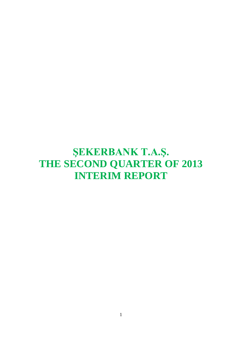# **ŞEKERBANK T.A.Ş. THE SECOND QUARTER OF 2013 INTERIM REPORT**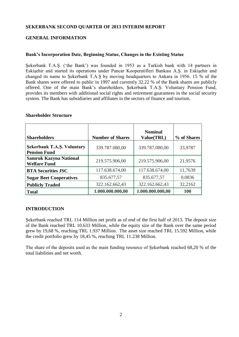# **ŞEKERBANK SECOND QUARTER OF 2013 INTERIM REPORT**

# **GENERAL INFORMATION**

## **Bank's Incorporation Date, Beginning Statue, Changes in the Existing Statue**

Şekerbank T.A.Ş. ('the Bank') was founded in 1953 as a Turkish bank with 14 partners in Eskişehir and started its operations under Pancar Kooperatifleri Bankası A.Ş. in Eskişehir and changed its name to Şekerbank T.A.Ş by moving headquarters to Ankara in 1956. 15 % of the Bank shares were offered to public in 1997 and currently 32.22 % of the Bank shares are publicly offered. One of the main Bank's shareholders, Şekerbank T.A.Ş. Voluntary Pension Fund, provides its members with additional social rights and retirement guarantees in the social security system. The Bank has subsidiaries and affiliates in the sectors of finance and tourism.

| <b>Shareholders</b>                                      | <b>Number of Shares</b> | <b>Nominal</b><br>Value(TRL) | % of Shares |
|----------------------------------------------------------|-------------------------|------------------------------|-------------|
| <b>Sekerbank T.A.S. Voluntary</b><br><b>Pension Fund</b> | 339.787.080,00          | 339.787.080,00               | 33,9787     |
| <b>Samruk Kazyna National</b><br><b>Welfare Fund</b>     | 219.575.906,00          | 219.575.906,00               | 21,9576     |
| <b>BTA Securities JSC</b>                                | 117.638.674,00          | 117.638.674,00               | 11,7639     |
| <b>Sugar Beet Cooperatives</b>                           | 835.677,57              | 835.677,57                   | 0,0836      |
| <b>Publicly Traded</b>                                   | 322.162.662,43          | 322.162.662,43               | 32,2162     |
| <b>Total</b>                                             | 1.000.000.000,00        | 1.000.000.000,00             | <b>100</b>  |

#### **Shareholder Structure**

## **INTRODUCTION**

Sekerbank reached TRL 114 Million net profit as of end of the first half of 2013. The deposit size of the Bank reached TRL 10.633 Million, while the equity size of the Bank over the same period grew by 19,68 %, reaching TRL 1.937 Million. The asset size reached TRL 15.592 Million, while the credit portfolio grew by 18,45 %, reaching TRL 11.238 Million.

The share of the deposits used as the main funding resource of Şekerbank reached 68,20 % of the total liabilities and net worth.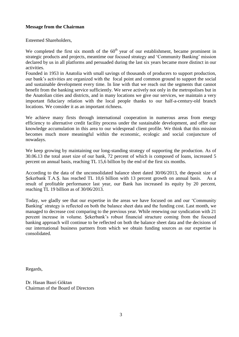# **Message from the Chairman**

Esteemed Shareholders,

We completed the first six month of the  $60<sup>th</sup>$  year of our establishment, became prominent in strategic products and projects, meantime our focused strategy and 'Community Banking' mission declared by us in all platforms and persuaded during the last six years became more distinct in our activities.

Founded in 1953 in Anatolia with small savings of thousands of producers to support production, our bank's activities are organized with the focal point and common ground to support the social and sustainable development every time. In line with that we reach out the segments that cannot benefit from the banking service sufficiently. We serve actively not only in the metropolises but in the Anatolian cities and districts, and in many locations we give our services, we maintain a very important fiduciary relation with the local people thanks to our half-a-century-old branch locations. We consider it as an important richness.

We achieve many firsts through international cooperation in numerous areas from energy efficiency to alternative credit facility process under the sustainable development, and offer our knowledge accumulation in this area to our widespread client profile. We think that this mission becomes much more meaningful within the economic, ecologic and social conjuncture of nowadays.

We keep growing by maintaining our long-standing strategy of supporting the production. As of 30.06.13 the total asset size of our bank, 72 percent of which is composed of loans, increased 5 percent on annual basis, reaching TL 15,6 billion by the end of the first six months.

According to the data of the unconsolidated balance sheet dated 30/06/2013, the deposit size of Şekerbank T.A.Ş. has reached TL 10,6 billion with 13 percent growth on annual basis. As a result of profitable performance last year, our Bank has increased its equity by 20 percent, reaching TL 19 billion as of 30/06/2013.

Today, we gladly see that our expertise in the areas we have focused on and our 'Community Banking' strategy is reflected on both the balance sheet data and the funding cost. Last month, we managed to decrease cost comparing to the previous year. While renewing our syndication with 21 percent increase in volume. Şekerbank's robust financial structure coming from the focused banking approach will continue to be reflected on both the balance sheet data and the decisions of our international business partners from which we obtain funding sources as our expertise is consolidated.

Regards,

Dr. Hasan Basri Göktan Chairman of the Board of Directors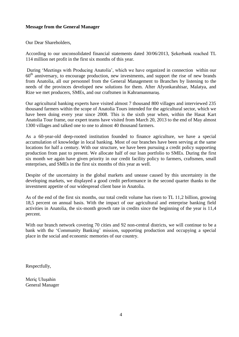# **Message from the General Manager**

Our Dear Shareholders,

According to our unconsolidated financial statements dated 30/06/2013, Şekerbank reached TL 114 million net profit in the first six months of this year.

During 'Meetings with Producing Anatolia', which we have organized in connection within our  $60<sup>th</sup>$  anniversary, to encourage production, new investments, and support the rise of new brands from Anatolia, all our personnel from the General Management to Branches by listening to the needs of the provinces developed new solutions for them. After Afyonkarahisar, Malatya, and Rize we met producers, SMEs, and our craftsmen in Kahramanmaraş.

Our agricultural banking experts have visited almost 7 thousand 800 villages and interviewed 235 thousand farmers within the scope of Anatolia Tours intended for the agricultural sector, which we have been doing every year since 2008. This is the sixth year when, within the Hasat Kart Anatolia Tour frame, our expert teams have visited from March 20, 2013 to the end of May almost 1300 villages and talked one to one to almost 40 thousand farmers.

As a 60-year-old deep-rooted institution founded to finance agriculture, we have a special accumulation of knowledge in local banking. Most of our branches have been serving at the same locations for half a century. With our structure, we have been pursuing a credit policy supporting production from past to present. We allocate half of our loan portfolio to SMEs. During the first six month we again have given priority in our credit facility policy to farmers, craftsmen, small enterprises, and SMEs in the first six months of this year as well.

Despite of the uncertainty in the global markets and unease caused by this uncertainty in the developing markets, we displayed a good credit performance in the second quarter thanks to the investment appetite of our widespread client base in Anatolia.

As of the end of the first six months, our total credit volume has risen to TL 11,2 billion, growing 18,5 percent on annual basis. With the impact of our agricultural and enterprise banking field activities in Anatolia, the six-month growth rate in credits since the beginning of the year is 11,4 percent.

With our branch network covering 70 cities and 92 non-central districts, we will continue to be a bank with the 'Community Banking' mission, supporting production and occupying a special place in the social and economic memories of our country.

Respectfully,

Meriç Uluşahin General Manager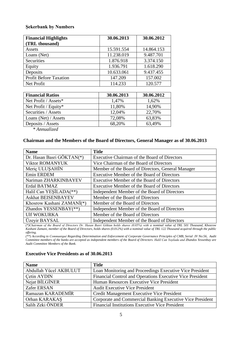## **Şekerbank by Numbers**

| <b>Financial Highlights</b>   | 30.06.2013 | 30.06.2012 |
|-------------------------------|------------|------------|
| (TRL thousand)                |            |            |
| Assets                        | 15.591.554 | 14.864.153 |
| Loans (Net)                   | 11.238.019 | 9.487.701  |
| Securities                    | 1.876.918  | 3.374.150  |
| Equity                        | 1.936.791  | 1.618.290  |
| Deposits                      | 10.633.061 | 9.437.455  |
| <b>Profit Before Taxation</b> | 147.209    | 157.002    |
| Net Profit                    | 114.233    | 120.577    |

| <b>Financial Ratios</b> | 30.06.2013 | 30.06.2012 |
|-------------------------|------------|------------|
| Net Profit / Assets*    | 1,47%      | 1,62%      |
| Net Profit / Equity*    | 11,80%     | 14,90%     |
| Securities / Assets     | 12,04%     | 22,70%     |
| Loans (Net) / Assets    | 72,08%     | 63,83%     |
| Deposits / Assets       | 68,20%     | 63,49%     |

*\* Annualized*

#### **Chairman and the Members of the Board of Directors, General Manager as of 30.06.2013**

| <b>Name</b>               | <b>Title</b>                                      |
|---------------------------|---------------------------------------------------|
| Dr. Hasan Basri GÖKTAN(*) | Executive Chairman of the Board of Directors      |
| <b>Viktor ROMANYUK</b>    | Vice Chairman of the Board of Directors           |
| Meric ULUSAHIN            | Member of the Board of Directors, General Manager |
| Emin ERDEM                | Executive Member of the Board of Directors        |
| Nariman ZHARKINBAYEV      | Executive Member of the Board of Directors        |
| Erdal BATMAZ              | Executive Member of the Board of Directors        |
| Halil Can YEŞİLADA(**)    | Independent Member of the Board of Directors      |
| <b>Askhat BEISENBAYEV</b> | Member of the Board of Directors                  |
| Khosrow Kashani ZAMANI(*) | Member of the Board of Directors                  |
| Zhandos YESSENBAY(**)     | Independent Member of the Board of Directors      |
| <b>Ulf WOKURKA</b>        | Member of the Board of Directors                  |
| Üzeyir BAYSAL             | Independent Member of the Board of Directors      |

*(\*)Chairman of the Board of Directors Dr. Hasan Basri Göktan holds shares (0.05%) with a nominal value of TRL 501 Thousand, Khosrow Kashani Zamani, member of the Board of Directors, holds shares (0.012%) with a nominal value of TRL 122 Thousand acquired through the public offering.*

*(\*\*) According to Communiqué Regarding Determination and Enforcement of Corporate Governance Principles of CMB, Serial :IV No:56, Audit Committee members of the banks are accepted as independent members of the Board of Directors. Halil Can Yeşilada and Zhandos Yessenbay are Audit Committee Members of the Bank.*

| <b>Name</b>            | <b>Title</b>                                              |
|------------------------|-----------------------------------------------------------|
| Abdullah Yücel AKBULUT | Loan Monitoring and Proceedings Executive Vice President  |
| Cetin AYDIN            | Financial Control and Operations Executive Vice President |
| Nejat BİLGİNER         | Human Resources Executive Vice President                  |
| Zafer ERSAN            | <b>Audit Executive Vice President</b>                     |
| Ramazan KARADEMİR      | Credit Management Executive Vice President                |
| Orhan KARAKAS          | Corporate and Commercial Banking Executive Vice President |
| Salih Zeki ÖNDER       | <b>Financial Institutions Executive Vice President</b>    |

#### **Executive Vice Presidents as of 30.06.2013**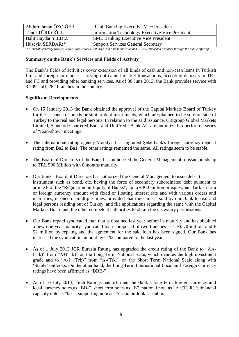| Abdurrahman ÖZCİĞER  | <b>Retail Banking Executive Vice President</b>         |
|----------------------|--------------------------------------------------------|
| Tanol TÜRKOĞLU       | <b>Information Technology Executive Vice President</b> |
| Halit Haydar YILDIZ  | <b>SME Banking Executive Vice President</b>            |
| Hüseyin SERDAR $(*)$ | <b>Support Services General Secretary</b>              |

*(\*)General Secretary Hüseyin Serdar holds shares (0.003%) with a nominal value of TRL 26.7 Thousand acquired through the public offering.*

#### **Summary on the Bank's Services and Fields of Activity**

The Bank's fields of activities cover extension of all kinds of cash and non-cash loans in Turkish Lira and foreign currencies, carrying out capital market transactions, accepting deposits in TRL and FC and providing other banking services. As of 30 June 2013, the Bank provides service with 3.709 staff, 282 branches in the country.

## **Significant Developments**

- On 15 January 2013 the Bank obtained the approval of the Capital Markets Board of Turkey for the issuance of bonds or similar debt instruments, which are planned to be sold outside of Turkey to the real and legal persons. In relation to the said issuance, Citigroup Global Markets Limited, Standard Chartered Bank and UniCredit Bank AG are authorized to perform a series of "road-show" meetings.
- The international rating agency Moody's has upgraded Şekerbank's foreign currency deposit rating from Ba2 to Ba1. The other ratings remained the same. All ratings seem to be stable.
- The Board of Directors of the Bank has authorized the General Management to issue bonds up to TRL 500 Million with 6 months maturity.
- Our Bank's Board of Directors has authorized the General Management to issue deb t instrument such as bond, etc. having the force of secondary subordinated debt pursuant to article 8 of the "Regulation on Equity of Banks", up to  $\epsilon$ 300 million or equivalent Turkish Lira or foreign currency amount with fixed or floating interest rate and with various orders and maturities, in once or multiple times, provided that the same is sold by our Bank to real and legal persons residing out of Turkey, and file applications regarding the same with the Capital Markets Board and the other competent authorities to obtain the necessary permissions.
- Our Bank repaid syndicated loan that is obtained last year before its maturity and has obtained a new one-year maturity syndicated loan composed of two tranches as US\$ 70 million and  $\epsilon$ 52 million by repaing and the agreement for the said loan has been signed. Our Bank has increased the syndication amount by 21% compared to the last year.
- As of 1 July 2013 JCR Eurasia Rating has upgraded the credit rating of the Bank to "AA- (Trk)" from "A+(Trk)" on the Long Term National scale, which denotes the high investment grade and to "A-1+(Trk)" from "A-(Trk)" on the Short Term National Scale along with 'Stable' outlooks. On the other hand, the Long Term International Local and Foreign Currency ratings have been affirmed as "BBB-".
- As of 10 July 2013, Fitch Ratings has affirmed the Bank's long term foreign currency and local currency notes as "BB-", short term notes as "B", national note as "A+(TUR)"; financial capacity note as "bb-"; supporting note as "5" and outlook as stable.